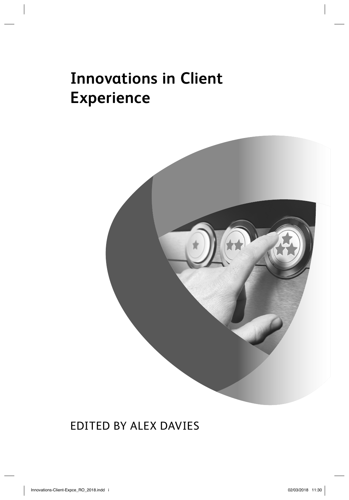# **Innovations in Client Experience**



### EDITED BY ALEX DAVIES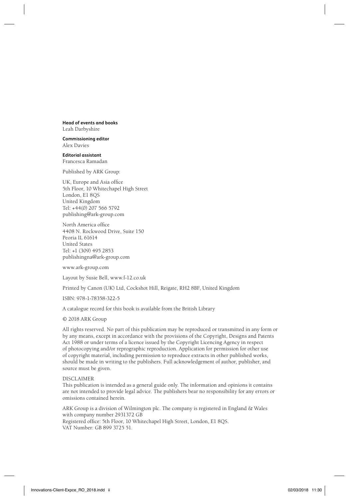**Head of events and books** Leah Darbyshire

**Commissioning editor** Alex Davies

**Editorial assistant** Francesca Ramadan

Published by ARK Group:

UK, Europe and Asia office 5th Floor, 10 Whitechapel High Street London, E1 8QS United Kingdom Tel: +44(0) 207 566 5792 publishing@ark-group.com

North America office 4408 N. Rockwood Drive, Suite 150 Peoria IL 61614 United States Tel: +1 (309) 495 2853 publishingna@ark-group.com

www.ark-group.com

Layout by Susie Bell, www.f-12.co.uk

Printed by Canon (UK) Ltd, Cockshot Hill, Reigate, RH2 8BF, United Kingdom

ISBN: 978-1-78358-322-5

A catalogue record for this book is available from the British Library

© 2018 ARK Group

All rights reserved. No part of this publication may be reproduced or transmitted in any form or by any means, except in accordance with the provisions of the Copyright, Designs and Patents Act 1988 or under terms of a licence issued by the Copyright Licencing Agency in respect of photocopying and/or reprographic reproduction. Application for permission for other use of copyright material, including permission to reproduce extracts in other published works, should be made in writing to the publishers. Full acknowledgement of author, publisher, and source must be given.

DISCLAIMER

This publication is intended as a general guide only. The information and opinions it contains are not intended to provide legal advice. The publishers bear no responsibility for any errors or omissions contained herein.

ARK Group is a division of Wilmington plc. The company is registered in England & Wales with company number 2931372 GB Registered office: 5th Floor, 10 Whitechapel High Street, London, E1 8QS. VAT Number: GB 899 3725 51.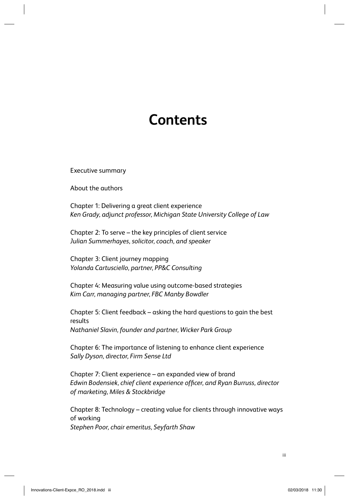## **Contents**

Executive summary

About the authors

Chapter 1: Delivering a great client experience *Ken Grady, adjunct professor, Michigan State University College of Law*

Chapter 2: To serve – the key principles of client service *Julian Summerhayes, solicitor, coach, and speaker*

Chapter 3: Client journey mapping *Yolanda Cartusciello, partner, PP&C Consulting*

Chapter 4: Measuring value using outcome-based strategies *Kim Carr, managing partner, FBC Manby Bowdler*

Chapter 5: Client feedback – asking the hard questions to gain the best results *Nathaniel Slavin, founder and partner, Wicker Park Group*

Chapter 6: The importance of listening to enhance client experience *Sally Dyson, director, Firm Sense Ltd*

Chapter 7: Client experience – an expanded view of brand Edwin Bodensiek, chief client experience officer, and Ryan Burruss, director *of marketing, Miles & Stockbridge*

Chapter 8: Technology – creating value for clients through innovative ways of working *Stephen Poor, chair emeritus, Seyfarth Shaw*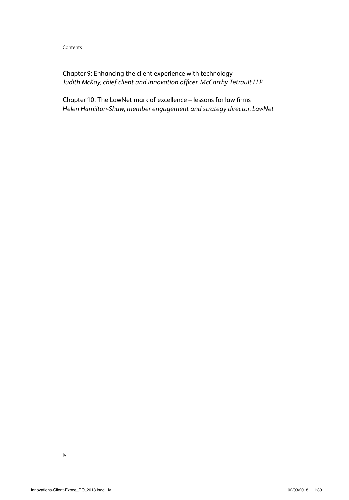Contents

Chapter 9: Enhancing the client experience with technology Judith McKay, chief client and innovation officer, McCarthy Tetrault LLP

Chapter 10: The LawNet mark of excellence - lessons for law firms *Helen Hamilton-Shaw, member engagement and strategy director, LawNet*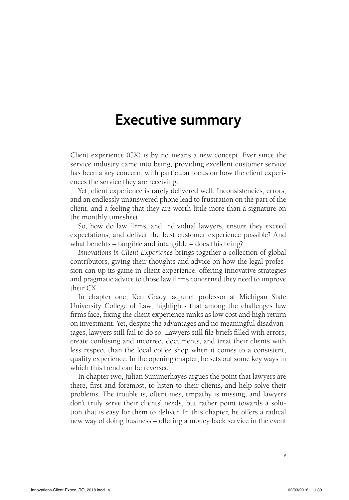#### **Executive summary**

Client experience (CX) is by no means a new concept. Ever since the service industry came into being, providing excellent customer service has been a key concern, with particular focus on how the client experiences the service they are receiving.

Yet, client experience is rarely delivered well. Inconsistencies, errors, and an endlessly unanswered phone lead to frustration on the part of the client, and a feeling that they are worth little more than a signature on the monthly timesheet.

So, how do law firms, and individual lawyers, ensure they exceed expectations, and deliver the best customer experience possible? And what benefits – tangible and intangible – does this bring?

*Innovations in Client Experience* brings together a collection of global contributors, giving their thoughts and advice on how the legal profession can up its game in client experience, offering innovative strategies and pragmatic advice to those law firms concerned they need to improve their CX.

In chapter one, Ken Grady, adjunct professor at Michigan State University College of Law, highlights that among the challenges law firms face, fixing the client experience ranks as low cost and high return on investment. Yet, despite the advantages and no meaningful disadvantages, lawyers still fail to do so. Lawyers still file briefs filled with errors, create confusing and incorrect documents, and treat their clients with less respect than the local coffee shop when it comes to a consistent, quality experience. In the opening chapter, he sets out some key ways in which this trend can be reversed.

In chapter two, Julian Summerhayes argues the point that lawyers are there, first and foremost, to listen to their clients, and help solve their problems. The trouble is, oftentimes, empathy is missing, and lawyers don't truly serve their clients' needs, but rather point towards a solution that is easy for them to deliver. In this chapter, he offers a radical new way of doing business – offering a money back service in the event

v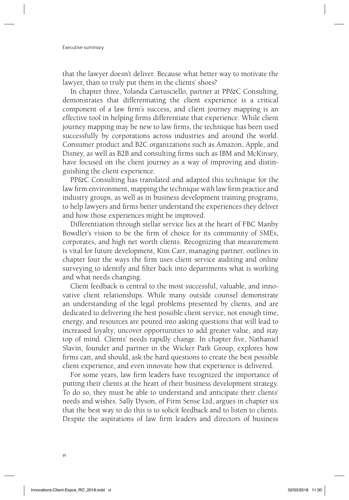that the lawyer doesn't deliver. Because what better way to motivate the lawyer, than to truly put them in the clients' shoes?

In chapter three, Yolanda Cartusciello, partner at PP&C Consulting, demonstrates that differentiating the client experience is a critical component of a law firm's success, and client journey mapping is an effective tool in helping firms differentiate that experience. While client journey mapping may be new to law firms, the technique has been used successfully by corporations across industries and around the world. Consumer product and B2C organizations such as Amazon, Apple, and Disney, as well as B2B and consulting firms such as IBM and McKinsey, have focused on the client journey as a way of improving and distinguishing the client experience.

PP&C Consulting has translated and adapted this technique for the law firm environment, mapping the technique with law firm practice and industry groups, as well as in business development training programs, to help lawyers and firms better understand the experiences they deliver and how those experiences might be improved.

Differentiation through stellar service lies at the heart of FBC Manby Bowdler's vision to be the firm of choice for its community of SMEs, corporates, and high net worth clients. Recognizing that measurement is vital for future development, Kim Carr, managing partner, outlines in chapter four the ways the firm uses client service auditing and online surveying to identify and filter back into departments what is working and what needs changing.

Client feedback is central to the most successful, valuable, and innovative client relationships. While many outside counsel demonstrate an understanding of the legal problems presented by clients, and are dedicated to delivering the best possible client service, not enough time, energy, and resources are poured into asking questions that will lead to increased loyalty, uncover opportunities to add greater value, and stay top of mind. Clients' needs rapidly change. In chapter five, Nathaniel Slavin, founder and partner in the Wicker Park Group, explores how firms can, and should, ask the hard questions to create the best possible client experience, and even innovate how that experience is delivered.

For some years, law firm leaders have recognized the importance of putting their clients at the heart of their business development strategy. To do so, they must be able to understand and anticipate their clients' needs and wishes. Sally Dyson, of Firm Sense Ltd, argues in chapter six that the best way to do this is to solicit feedback and to listen to clients. Despite the aspirations of law firm leaders and directors of business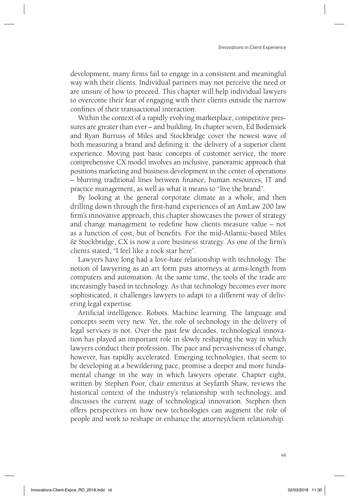development, many firms fail to engage in a consistent and meaningful way with their clients. Individual partners may not perceive the need or are unsure of how to proceed. This chapter will help individual lawyers to overcome their fear of engaging with their clients outside the narrow confines of their transactional interaction.

Within the context of a rapidly evolving marketplace, competitive pressures are greater than ever – and building. In chapter seven, Ed Bodensiek and Ryan Burruss of Miles and Stockbridge cover the newest wave of both measuring a brand and defining it: the delivery of a superior client experience. Moving past basic concepts of customer service, the more comprehensive CX model involves an inclusive, panoramic approach that positions marketing and business development in the center of operations – blurring traditional lines between finance, human resources, IT and practice management, as well as what it means to "live the brand".

By looking at the general corporate climate as a whole, and then drilling down through the first-hand experiences of an AmLaw 200 law firm's innovative approach, this chapter showcases the power of strategy and change management to redefine how clients measure value – not as a function of cost, but of benefits. For the mid-Atlantic-based Miles & Stockbridge, CX is now a core business strategy. As one of the firm's clients stated, "I feel like a rock star here".

Lawyers have long had a love-hate relationship with technology. The notion of lawyering as an art form puts attorneys at arms-length from computers and automation. At the same time, the tools of the trade are increasingly based in technology. As that technology becomes ever more sophisticated, it challenges lawyers to adapt to a different way of delivering legal expertise.

Artificial intelligence. Robots. Machine learning. The language and concepts seem very new. Yet, the role of technology in the delivery of legal services is not. Over the past few decades, technological innovation has played an important role in slowly reshaping the way in which lawyers conduct their profession. The pace and pervasiveness of change, however, has rapidly accelerated. Emerging technologies, that seem to be developing at a bewildering pace, promise a deeper and more fundamental change in the way in which lawyers operate. Chapter eight, written by Stephen Poor, chair emeritus at Seyfarth Shaw, reviews the historical context of the industry's relationship with technology, and discusses the current stage of technological innovation. Stephen then offers perspectives on how new technologies can augment the role of people and work to reshape or enhance the attorney/client relationship.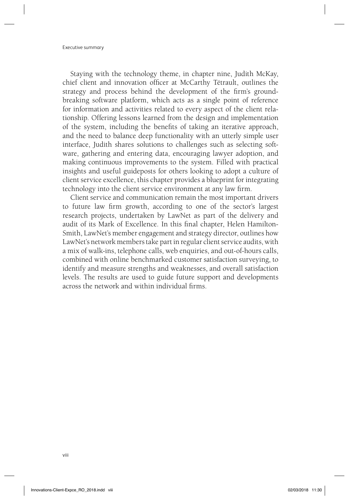Executive summary

Staying with the technology theme, in chapter nine, Judith McKay, chief client and innovation officer at McCarthy Tétrault, outlines the strategy and process behind the development of the firm's groundbreaking software platform, which acts as a single point of reference for information and activities related to every aspect of the client relationship. Offering lessons learned from the design and implementation of the system, including the benefits of taking an iterative approach, and the need to balance deep functionality with an utterly simple user interface, Judith shares solutions to challenges such as selecting software, gathering and entering data, encouraging lawyer adoption, and making continuous improvements to the system. Filled with practical insights and useful guideposts for others looking to adopt a culture of client service excellence, this chapter provides a blueprint for integrating technology into the client service environment at any law firm.

Client service and communication remain the most important drivers to future law firm growth, according to one of the sector's largest research projects, undertaken by LawNet as part of the delivery and audit of its Mark of Excellence. In this final chapter, Helen Hamilton-Smith, LawNet's member engagement and strategy director, outlines how LawNet's network members take part in regular client service audits, with a mix of walk-ins, telephone calls, web enquiries, and out-of-hours calls, combined with online benchmarked customer satisfaction surveying, to identify and measure strengths and weaknesses, and overall satisfaction levels. The results are used to guide future support and developments across the network and within individual firms.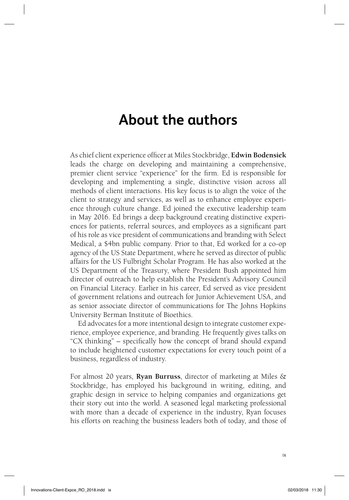## **About the authors**

As chief client experience officer at Miles Stockbridge, **Edwin Bodensiek** leads the charge on developing and maintaining a comprehensive, premier client service "experience" for the firm. Ed is responsible for developing and implementing a single, distinctive vision across all methods of client interactions. His key focus is to align the voice of the client to strategy and services, as well as to enhance employee experience through culture change. Ed joined the executive leadership team in May 2016. Ed brings a deep background creating distinctive experiences for patients, referral sources, and employees as a significant part of his role as vice president of communications and branding with Select Medical, a \$4bn public company. Prior to that, Ed worked for a co-op agency of the US State Department, where he served as director of public affairs for the US Fulbright Scholar Program. He has also worked at the US Department of the Treasury, where President Bush appointed him director of outreach to help establish the President's Advisory Council on Financial Literacy. Earlier in his career, Ed served as vice president of government relations and outreach for Junior Achievement USA, and as senior associate director of communications for The Johns Hopkins University Berman Institute of Bioethics.

Ed advocates for a more intentional design to integrate customer experience, employee experience, and branding. He frequently gives talks on "CX thinking" – specifically how the concept of brand should expand to include heightened customer expectations for every touch point of a business, regardless of industry.

For almost 20 years, **Ryan Burruss**, director of marketing at Miles & Stockbridge, has employed his background in writing, editing, and graphic design in service to helping companies and organizations get their story out into the world. A seasoned legal marketing professional with more than a decade of experience in the industry, Ryan focuses his efforts on reaching the business leaders both of today, and those of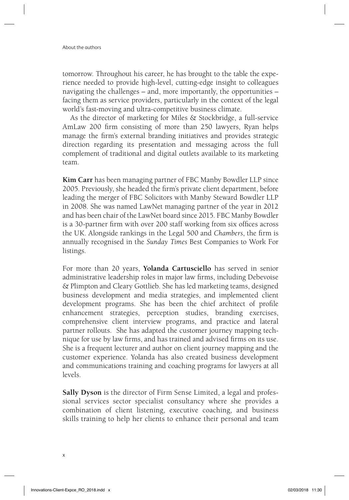tomorrow. Throughout his career, he has brought to the table the experience needed to provide high-level, cutting-edge insight to colleagues navigating the challenges – and, more importantly, the opportunities – facing them as service providers, particularly in the context of the legal world's fast-moving and ultra-competitive business climate.

As the director of marketing for Miles & Stockbridge, a full-service AmLaw 200 firm consisting of more than 250 lawyers, Ryan helps manage the firm's external branding initiatives and provides strategic direction regarding its presentation and messaging across the full complement of traditional and digital outlets available to its marketing team.

**Kim Carr** has been managing partner of FBC Manby Bowdler LLP since 2005. Previously, she headed the firm's private client department, before leading the merger of FBC Solicitors with Manby Steward Bowdler LLP in 2008. She was named LawNet managing partner of the year in 2012 and has been chair of the LawNet board since 2015. FBC Manby Bowdler is a 30-partner firm with over 200 staff working from six offices across the UK. Alongside rankings in the Legal 500 and *Chambers*, the firm is annually recognised in the *Sunday Times* Best Companies to Work For listings.

For more than 20 years, **Yolanda Cartusciello** has served in senior administrative leadership roles in major law firms, including Debevoise & Plimpton and Cleary Gottlieb. She has led marketing teams, designed business development and media strategies, and implemented client development programs. She has been the chief architect of profile enhancement strategies, perception studies, branding exercises, comprehensive client interview programs, and practice and lateral partner rollouts. She has adapted the customer journey mapping technique for use by law firms, and has trained and advised firms on its use. She is a frequent lecturer and author on client journey mapping and the customer experience. Yolanda has also created business development and communications training and coaching programs for lawyers at all levels.

**Sally Dyson** is the director of Firm Sense Limited, a legal and professional services sector specialist consultancy where she provides a combination of client listening, executive coaching, and business skills training to help her clients to enhance their personal and team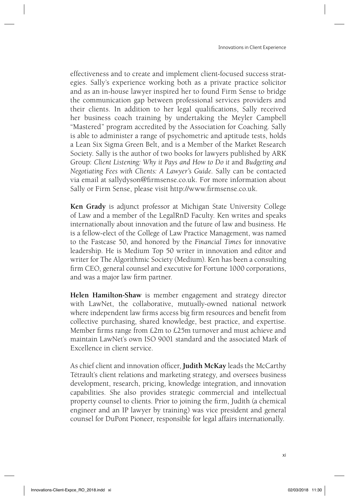effectiveness and to create and implement client-focused success strategies. Sally's experience working both as a private practice solicitor and as an in-house lawyer inspired her to found Firm Sense to bridge the communication gap between professional services providers and their clients. In addition to her legal qualifications, Sally received her business coach training by undertaking the Meyler Campbell "Mastered" program accredited by the Association for Coaching. Sally is able to administer a range of psychometric and aptitude tests, holds a Lean Six Sigma Green Belt, and is a Member of the Market Research Society. Sally is the author of two books for lawyers published by ARK Group: *Client Listening: Why it Pays and How to Do it* and *Budgeting and Negotiating Fees with Clients: A Lawyer's Guide*. Sally can be contacted via email at sallydyson@firmsense.co.uk. For more information about Sally or Firm Sense, please visit http://www.firmsense.co.uk.

**Ken Grady** is adjunct professor at Michigan State University College of Law and a member of the LegalRnD Faculty. Ken writes and speaks internationally about innovation and the future of law and business. He is a fellow-elect of the College of Law Practice Management, was named to the Fastcase 50, and honored by the *Financial Times* for innovative leadership. He is Medium Top 50 writer in innovation and editor and writer for The Algorithmic Society (Medium). Ken has been a consulting firm CEO, general counsel and executive for Fortune 1000 corporations, and was a major law firm partner.

**Helen Hamilton-Shaw** is member engagement and strategy director with LawNet, the collaborative, mutually-owned national network where independent law firms access big firm resources and benefit from collective purchasing, shared knowledge, best practice, and expertise. Member firms range from  $£2m$  to  $£25m$  turnover and must achieve and maintain LawNet's own ISO 9001 standard and the associated Mark of Excellence in client service.

As chief client and innovation officer, **Judith McKay** leads the McCarthy Tétrault's client relations and marketing strategy, and oversees business development, research, pricing, knowledge integration, and innovation capabilities. She also provides strategic commercial and intellectual property counsel to clients. Prior to joining the firm, Judith (a chemical engineer and an IP lawyer by training) was vice president and general counsel for DuPont Pioneer, responsible for legal affairs internationally.